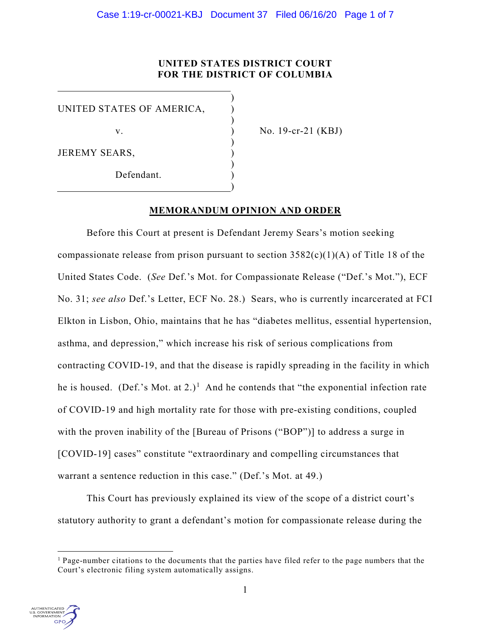# **UNITED STATES DISTRICT COURT FOR THE DISTRICT OF COLUMBIA**

)

)

)

)

)

UNITED STATES OF AMERICA, )

JEREMY SEARS,

Defendant.

v. ) No. 19-cr-21 (KBJ)

# **MEMORANDUM OPINION AND ORDER**

Before this Court at present is Defendant Jeremy Sears's motion seeking compassionate release from prison pursuant to section  $3582(c)(1)(A)$  of Title 18 of the United States Code. (*See* Def.'s Mot. for Compassionate Release ("Def.'s Mot."), ECF No. 31; *see also* Def.'s Letter, ECF No. 28.) Sears, who is currently incarcerated at FCI Elkton in Lisbon, Ohio, maintains that he has "diabetes mellitus, essential hypertension, asthma, and depression," which increase his risk of serious complications from contracting COVID-19, and that the disease is rapidly spreading in the facility in which he is housed. (Def.'s Mot. at 2.)<sup>[1](#page-0-0)</sup> And he contends that "the exponential infection rate of COVID-19 and high mortality rate for those with pre-existing conditions, coupled with the proven inability of the [Bureau of Prisons ("BOP")] to address a surge in [COVID-19] cases" constitute "extraordinary and compelling circumstances that warrant a sentence reduction in this case." (Def.'s Mot. at 49.)

This Court has previously explained its view of the scope of a district court's statutory authority to grant a defendant's motion for compassionate release during the

<span id="page-0-0"></span> $<sup>1</sup>$  Page-number citations to the documents that the parties have filed refer to the page numbers that the</sup> Court's electronic filing system automatically assigns.

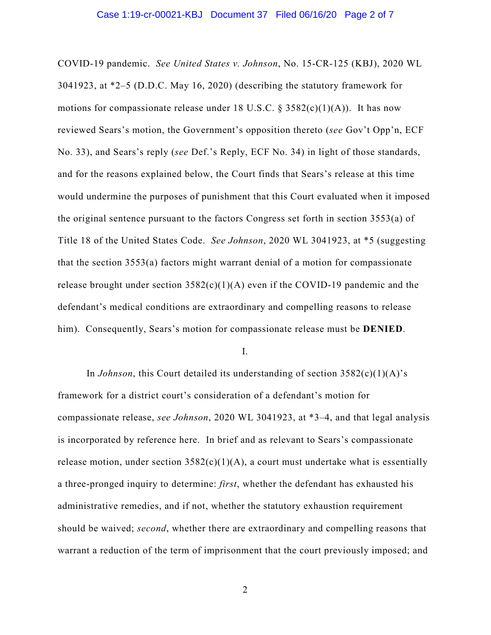COVID-19 pandemic. *See United States v. Johnson*, No. 15-CR-125 (KBJ), 2020 WL 3041923, at \*2–5 (D.D.C. May 16, 2020) (describing the statutory framework for motions for compassionate release under 18 U.S.C. § 3582(c)(1)(A)). It has now reviewed Sears's motion, the Government's opposition thereto (*see* Gov't Opp'n, ECF No. 33), and Sears's reply (*see* Def.'s Reply, ECF No. 34) in light of those standards, and for the reasons explained below, the Court finds that Sears's release at this time would undermine the purposes of punishment that this Court evaluated when it imposed the original sentence pursuant to the factors Congress set forth in section 3553(a) of Title 18 of the United States Code. *See Johnson*, 2020 WL 3041923, at \*5 (suggesting that the section 3553(a) factors might warrant denial of a motion for compassionate release brought under section  $3582(c)(1)(A)$  even if the COVID-19 pandemic and the defendant's medical conditions are extraordinary and compelling reasons to release him). Consequently, Sears's motion for compassionate release must be **DENIED**.

I.

In *Johnson*, this Court detailed its understanding of section 3582(c)(1)(A)'s framework for a district court's consideration of a defendant's motion for compassionate release, *see Johnson*, 2020 WL 3041923, at \*3–4, and that legal analysis is incorporated by reference here. In brief and as relevant to Sears's compassionate release motion, under section  $3582(c)(1)(A)$ , a court must undertake what is essentially a three-pronged inquiry to determine: *first*, whether the defendant has exhausted his administrative remedies, and if not, whether the statutory exhaustion requirement should be waived; *second*, whether there are extraordinary and compelling reasons that warrant a reduction of the term of imprisonment that the court previously imposed; and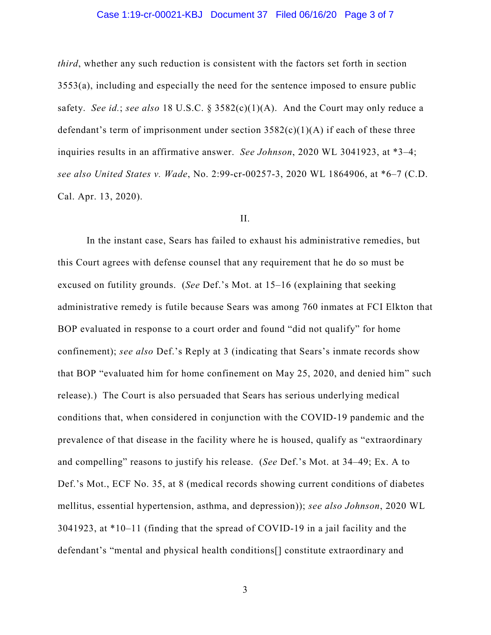## Case 1:19-cr-00021-KBJ Document 37 Filed 06/16/20 Page 3 of 7

*third*, whether any such reduction is consistent with the factors set forth in section 3553(a), including and especially the need for the sentence imposed to ensure public safety. *See id.*; *see also* 18 U.S.C. § 3582(c)(1)(A). And the Court may only reduce a defendant's term of imprisonment under section  $3582(c)(1)(A)$  if each of these three inquiries results in an affirmative answer. *See Johnson*, 2020 WL 3041923, at \*3–4; *see also United States v. Wade*, No. 2:99-cr-00257-3, 2020 WL 1864906, at \*6–7 (C.D. Cal. Apr. 13, 2020).

### II.

In the instant case, Sears has failed to exhaust his administrative remedies, but this Court agrees with defense counsel that any requirement that he do so must be excused on futility grounds. (*See* Def.'s Mot. at 15–16 (explaining that seeking administrative remedy is futile because Sears was among 760 inmates at FCI Elkton that BOP evaluated in response to a court order and found "did not qualify" for home confinement); *see also* Def.'s Reply at 3 (indicating that Sears's inmate records show that BOP "evaluated him for home confinement on May 25, 2020, and denied him" such release).) The Court is also persuaded that Sears has serious underlying medical conditions that, when considered in conjunction with the COVID-19 pandemic and the prevalence of that disease in the facility where he is housed, qualify as "extraordinary and compelling" reasons to justify his release. (*See* Def.'s Mot. at 34–49; Ex. A to Def.'s Mot., ECF No. 35, at 8 (medical records showing current conditions of diabetes mellitus, essential hypertension, asthma, and depression)); *see also Johnson*, 2020 WL 3041923, at \*10–11 (finding that the spread of COVID-19 in a jail facility and the defendant's "mental and physical health conditions[] constitute extraordinary and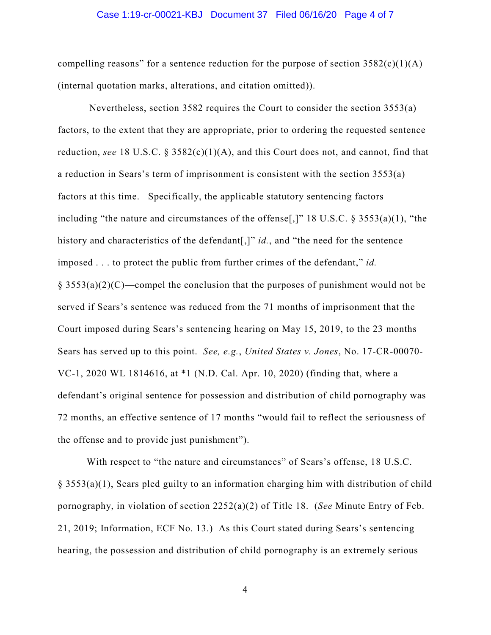#### Case 1:19-cr-00021-KBJ Document 37 Filed 06/16/20 Page 4 of 7

compelling reasons" for a sentence reduction for the purpose of section  $3582(c)(1)(A)$ (internal quotation marks, alterations, and citation omitted)).

Nevertheless, section 3582 requires the Court to consider the section 3553(a) factors, to the extent that they are appropriate, prior to ordering the requested sentence reduction, *see* 18 U.S.C.  $\S$  3582(c)(1)(A), and this Court does not, and cannot, find that a reduction in Sears's term of imprisonment is consistent with the section 3553(a) factors at this time. Specifically, the applicable statutory sentencing factors including "the nature and circumstances of the offense[,]" 18 U.S.C. § 3553(a)(1), "the history and characteristics of the defendant[,]" *id.*, and "the need for the sentence imposed . . . to protect the public from further crimes of the defendant," *id.*  $\S$  3553(a)(2)(C)—compel the conclusion that the purposes of punishment would not be served if Sears's sentence was reduced from the 71 months of imprisonment that the Court imposed during Sears's sentencing hearing on May 15, 2019, to the 23 months Sears has served up to this point. *See, e.g.*, *United States v. Jones*, No. 17-CR-00070- VC-1, 2020 WL 1814616, at \*1 (N.D. Cal. Apr. 10, 2020) (finding that, where a defendant's original sentence for possession and distribution of child pornography was 72 months, an effective sentence of 17 months "would fail to reflect the seriousness of the offense and to provide just punishment").

With respect to "the nature and circumstances" of Sears's offense, 18 U.S.C. § 3553(a)(1), Sears pled guilty to an information charging him with distribution of child pornography, in violation of section 2252(a)(2) of Title 18. (*See* Minute Entry of Feb. 21, 2019; Information, ECF No. 13.) As this Court stated during Sears's sentencing hearing, the possession and distribution of child pornography is an extremely serious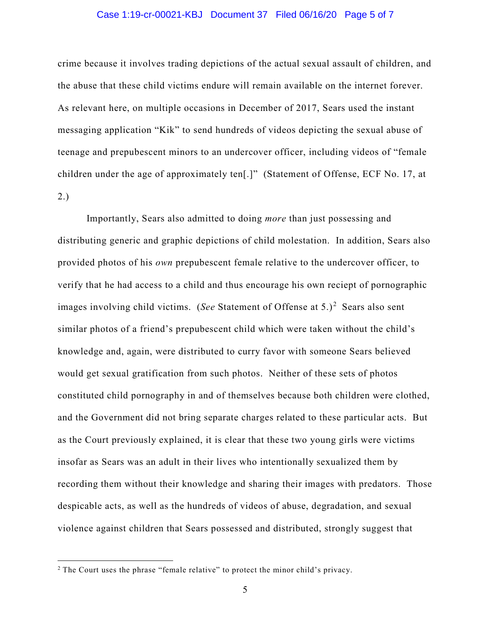### Case 1:19-cr-00021-KBJ Document 37 Filed 06/16/20 Page 5 of 7

crime because it involves trading depictions of the actual sexual assault of children, and the abuse that these child victims endure will remain available on the internet forever. As relevant here, on multiple occasions in December of 2017, Sears used the instant messaging application "Kik" to send hundreds of videos depicting the sexual abuse of teenage and prepubescent minors to an undercover officer, including videos of "female children under the age of approximately ten[.]" (Statement of Offense, ECF No. 17, at 2.)

Importantly, Sears also admitted to doing *more* than just possessing and distributing generic and graphic depictions of child molestation. In addition, Sears also provided photos of his *own* prepubescent female relative to the undercover officer, to verify that he had access to a child and thus encourage his own reciept of pornographic images involving child victims. (See Statement of Offense at 5.)<sup>[2](#page-4-0)</sup> Sears also sent similar photos of a friend's prepubescent child which were taken without the child's knowledge and, again, were distributed to curry favor with someone Sears believed would get sexual gratification from such photos. Neither of these sets of photos constituted child pornography in and of themselves because both children were clothed, and the Government did not bring separate charges related to these particular acts. But as the Court previously explained, it is clear that these two young girls were victims insofar as Sears was an adult in their lives who intentionally sexualized them by recording them without their knowledge and sharing their images with predators. Those despicable acts, as well as the hundreds of videos of abuse, degradation, and sexual violence against children that Sears possessed and distributed, strongly suggest that

<span id="page-4-0"></span> $2$  The Court uses the phrase "female relative" to protect the minor child's privacy.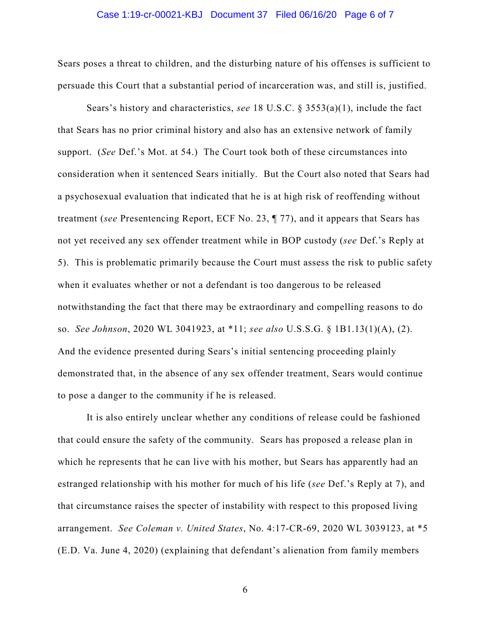#### Case 1:19-cr-00021-KBJ Document 37 Filed 06/16/20 Page 6 of 7

Sears poses a threat to children, and the disturbing nature of his offenses is sufficient to persuade this Court that a substantial period of incarceration was, and still is, justified.

Sears's history and characteristics, *see* 18 U.S.C. § 3553(a)(1), include the fact that Sears has no prior criminal history and also has an extensive network of family support. (*See* Def.'s Mot. at 54.) The Court took both of these circumstances into consideration when it sentenced Sears initially. But the Court also noted that Sears had a psychosexual evaluation that indicated that he is at high risk of reoffending without treatment (*see* Presentencing Report, ECF No. 23, ¶ 77), and it appears that Sears has not yet received any sex offender treatment while in BOP custody (*see* Def.'s Reply at 5). This is problematic primarily because the Court must assess the risk to public safety when it evaluates whether or not a defendant is too dangerous to be released notwithstanding the fact that there may be extraordinary and compelling reasons to do so. *See Johnson*, 2020 WL 3041923, at \*11; *see also* U.S.S.G. § 1B1.13(1)(A), (2). And the evidence presented during Sears's initial sentencing proceeding plainly demonstrated that, in the absence of any sex offender treatment, Sears would continue to pose a danger to the community if he is released.

It is also entirely unclear whether any conditions of release could be fashioned that could ensure the safety of the community. Sears has proposed a release plan in which he represents that he can live with his mother, but Sears has apparently had an estranged relationship with his mother for much of his life (*see* Def.'s Reply at 7), and that circumstance raises the specter of instability with respect to this proposed living arrangement. *See Coleman v. United States*, No. 4:17-CR-69, 2020 WL 3039123, at \*5 (E.D. Va. June 4, 2020) (explaining that defendant's alienation from family members